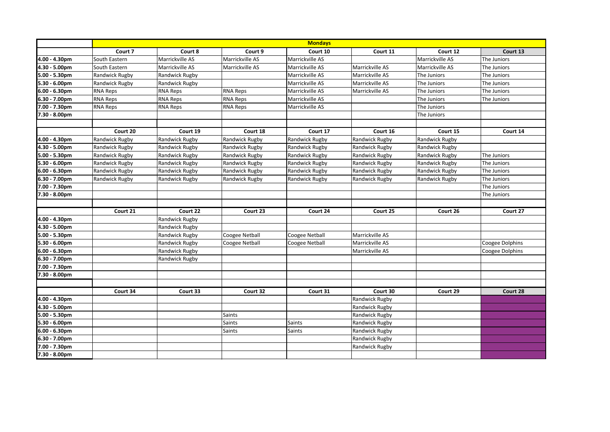|                  | <b>Mondays</b>        |                 |                 |                 |                 |                       |                 |  |
|------------------|-----------------------|-----------------|-----------------|-----------------|-----------------|-----------------------|-----------------|--|
|                  | Court 7               | Court 8         | Court 9         | Court 10        | Court 11        | Court 12              | Court 13        |  |
| 4.00 - 4.30pm    | South Eastern         | Marrickville AS | Marrickville AS | Marrickville AS |                 | Marrickville AS       | The Juniors     |  |
| 4.30 - 5.00pm    | South Eastern         | Marrickville AS | Marrickville AS | Marrickville AS | Marrickville AS | Marrickville AS       | The Juniors     |  |
| 5.00 - 5.30pm    | Randwick Rugby        | Randwick Rugby  |                 | Marrickville AS | Marrickville AS | The Juniors           | The Juniors     |  |
| 5.30 - 6.00pm    | Randwick Rugby        | Randwick Rugby  |                 | Marrickville AS | Marrickville AS | The Juniors           | The Juniors     |  |
| $6.00 - 6.30$ pm | <b>RNA Reps</b>       | <b>RNA Reps</b> | <b>RNA Reps</b> | Marrickville AS | Marrickville AS | The Juniors           | The Juniors     |  |
| 6.30 - 7.00pm    | <b>RNA Reps</b>       | <b>RNA Reps</b> | <b>RNA Reps</b> | Marrickville AS |                 | The Juniors           | The Juniors     |  |
| 7.00 - 7.30pm    | <b>RNA Reps</b>       | <b>RNA Reps</b> | <b>RNA Reps</b> | Marrickville AS |                 | The Juniors           |                 |  |
| 7.30 - 8.00pm    |                       |                 |                 |                 |                 | The Juniors           |                 |  |
|                  |                       |                 |                 |                 |                 |                       |                 |  |
|                  | Court 20              | Court 19        | Court 18        | Court 17        | Court 16        | Court 15              | Court 14        |  |
| 4.00 - 4.30pm    | Randwick Rugby        | Randwick Rugby  | Randwick Rugby  | Randwick Rugby  | Randwick Rugby  | <b>Randwick Rugby</b> |                 |  |
| 4.30 - 5.00pm    | Randwick Rugby        | Randwick Rugby  | Randwick Rugby  | Randwick Rugby  | Randwick Rugby  | Randwick Rugby        |                 |  |
| $5.00 - 5.30$ pm | Randwick Rugby        | Randwick Rugby  | Randwick Rugby  | Randwick Rugby  | Randwick Rugby  | Randwick Rugby        | The Juniors     |  |
| 5.30 - 6.00pm    | Randwick Rugby        | Randwick Rugby  | Randwick Rugby  | Randwick Rugby  | Randwick Rugby  | Randwick Rugby        | The Juniors     |  |
| $6.00 - 6.30$ pm | Randwick Rugby        | Randwick Rugby  | Randwick Rugby  | Randwick Rugby  | Randwick Rugby  | Randwick Rugby        | The Juniors     |  |
| 6.30 - 7.00pm    | <b>Randwick Rugby</b> | Randwick Rugby  | Randwick Rugby  | Randwick Rugby  | Randwick Rugby  | Randwick Rugby        | The Juniors     |  |
| 7.00 - 7.30pm    |                       |                 |                 |                 |                 |                       | The Juniors     |  |
| 7.30 - 8.00pm    |                       |                 |                 |                 |                 |                       | The Juniors     |  |
|                  |                       |                 |                 |                 |                 |                       |                 |  |
|                  | Court 21              | Court 22        | Court 23        | Court 24        | Court 25        | Court 26              | Court 27        |  |
| 4.00 - 4.30pm    |                       | Randwick Rugby  |                 |                 |                 |                       |                 |  |
| 4.30 - 5.00pm    |                       | Randwick Rugby  |                 |                 |                 |                       |                 |  |
| 5.00 - 5.30pm    |                       | Randwick Rugby  | Coogee Netball  | Coogee Netball  | Marrickville AS |                       |                 |  |
| 5.30 - 6.00pm    |                       | Randwick Rugby  | Coogee Netball  | Coogee Netball  | Marrickville AS |                       | Coogee Dolphins |  |
| $6.00 - 6.30$ pm |                       | Randwick Rugby  |                 |                 | Marrickville AS |                       | Coogee Dolphins |  |
| 6.30 - 7.00pm    |                       | Randwick Rugby  |                 |                 |                 |                       |                 |  |
| 7.00 - 7.30pm    |                       |                 |                 |                 |                 |                       |                 |  |
| 7.30 - 8.00pm    |                       |                 |                 |                 |                 |                       |                 |  |
|                  |                       |                 |                 |                 |                 |                       |                 |  |
|                  | Court 34              | Court 33        | Court 32        | Court 31        | Court 30        | Court 29              | Court 28        |  |
| 4.00 - 4.30pm    |                       |                 |                 |                 | Randwick Rugby  |                       |                 |  |
| 4.30 - 5.00pm    |                       |                 |                 |                 | Randwick Rugby  |                       |                 |  |
| 5.00 - 5.30pm    |                       |                 | Saints          |                 | Randwick Rugby  |                       |                 |  |
| 5.30 - 6.00pm    |                       |                 | Saints          | Saints          | Randwick Rugby  |                       |                 |  |
| $6.00 - 6.30$ pm |                       |                 | Saints          | Saints          | Randwick Rugby  |                       |                 |  |
| 6.30 - 7.00pm    |                       |                 |                 |                 | Randwick Rugby  |                       |                 |  |
| 7.00 - 7.30pm    |                       |                 |                 |                 | Randwick Rugby  |                       |                 |  |
| 7.30 - 8.00pm    |                       |                 |                 |                 |                 |                       |                 |  |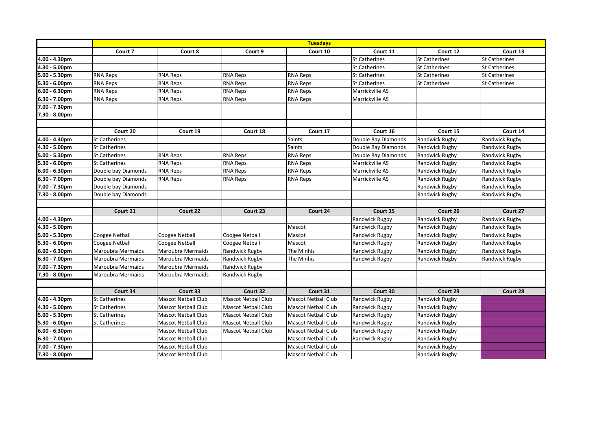|                  | <b>Tuesdays</b>          |                            |                            |                            |                      |                       |                      |  |
|------------------|--------------------------|----------------------------|----------------------------|----------------------------|----------------------|-----------------------|----------------------|--|
|                  | Court 7                  | Court 8                    | Court 9                    | Court 10                   | Court 11             | Court 12              | Court 13             |  |
| 4.00 - 4.30pm    |                          |                            |                            |                            | <b>St Catherines</b> | <b>St Catherines</b>  | <b>St Catherines</b> |  |
| 4.30 - 5.00pm    |                          |                            |                            |                            | <b>St Catherines</b> | <b>St Catherines</b>  | <b>St Catherines</b> |  |
| 5.00 - 5.30pm    | <b>RNA Reps</b>          | <b>RNA Reps</b>            | <b>RNA Reps</b>            | <b>RNA Reps</b>            | <b>St Catherines</b> | <b>St Catherines</b>  | <b>St Catherines</b> |  |
| 5.30 - 6.00pm    | <b>RNA Reps</b>          | <b>RNA Reps</b>            | <b>RNA Reps</b>            | <b>RNA Reps</b>            | <b>St Catherines</b> | <b>St Catherines</b>  | <b>St Catherines</b> |  |
| 6.00 - 6.30pm    | <b>RNA Reps</b>          | <b>RNA Reps</b>            | <b>RNA Reps</b>            | <b>RNA Reps</b>            | Marrickville AS      |                       |                      |  |
| 6.30 - 7.00pm    | <b>RNA Reps</b>          | <b>RNA Reps</b>            | <b>RNA Reps</b>            | <b>RNA Reps</b>            | Marrickville AS      |                       |                      |  |
| 7.00 - 7.30pm    |                          |                            |                            |                            |                      |                       |                      |  |
| 7.30 - 8.00pm    |                          |                            |                            |                            |                      |                       |                      |  |
|                  |                          |                            |                            |                            |                      |                       |                      |  |
|                  | Court 20                 | Court 19                   | Court 18                   | Court 17                   | Court 16             | Court 15              | Court 14             |  |
| 4.00 - 4.30pm    | <b>St Catherines</b>     |                            |                            | <b>Saints</b>              | Double Bay Diamonds  | Randwick Rugby        | Randwick Rugby       |  |
| 4.30 - 5.00pm    | <b>St Catherines</b>     |                            |                            | <b>Saints</b>              | Double Bay Diamonds  | Randwick Rugby        | Randwick Rugby       |  |
| $5.00 - 5.30pm$  | <b>St Catherines</b>     | <b>RNA Reps</b>            | <b>RNA Reps</b>            | <b>RNA Reps</b>            | Double Bay Diamonds  | Randwick Rugby        | Randwick Rugby       |  |
| 5.30 - 6.00pm    | <b>St Catherines</b>     | <b>RNA Reps</b>            | <b>RNA Reps</b>            | <b>RNA Reps</b>            | Marrickville AS      | <b>Randwick Rugby</b> | Randwick Rugby       |  |
| $6.00 - 6.30$ pm | Double bay Diamonds      | <b>RNA Reps</b>            | <b>RNA Reps</b>            | <b>RNA Reps</b>            | Marrickville AS      | Randwick Rugby        | Randwick Rugby       |  |
| 6.30 - 7.00pm    | Double bay Diamonds      | <b>RNA Reps</b>            | <b>RNA Reps</b>            | <b>RNA Reps</b>            | Marrickville AS      | <b>Randwick Rugby</b> | Randwick Rugby       |  |
| 7.00 - 7.30pm    | Double bay Diamonds      |                            |                            |                            |                      | Randwick Rugby        | Randwick Rugby       |  |
| 7.30 - 8.00pm    | Double bay Diamonds      |                            |                            |                            |                      | Randwick Rugby        | Randwick Rugby       |  |
|                  |                          |                            |                            |                            |                      |                       |                      |  |
|                  | Court 21                 | Court 22                   | Court 23                   | Court 24                   | Court 25             | Court 26              | Court 27             |  |
| 4.00 - 4.30pm    |                          |                            |                            |                            | Randwick Rugby       | <b>Randwick Rugby</b> | Randwick Rugby       |  |
| 4.30 - 5.00pm    |                          |                            |                            | Mascot                     | Randwick Rugby       | Randwick Rugby        | Randwick Rugby       |  |
| 5.00 - 5.30pm    | Coogee Netball           | Coogee Netball             | Coogee Netball             | Mascot                     | Randwick Rugby       | Randwick Rugby        | Randwick Rugby       |  |
| 5.30 - 6.00pm    | Coogee Netball           | Coogee Netball             | Coogee Netball             | Mascot                     | Randwick Rugby       | Randwick Rugby        | Randwick Rugby       |  |
| 6.00 - 6.30pm    | Maroubra Mermaids        | Maroubra Mermaids          | Randwick Rugby             | The Minhis                 | Randwick Rugby       | Randwick Rugby        | Randwick Rugby       |  |
| 6.30 - 7.00pm    | <b>Maroubra Mermaids</b> | Maroubra Mermaids          | Randwick Rugby             | The Minhis                 | Randwick Rugby       | Randwick Rugby        | Randwick Rugby       |  |
| 7.00 - 7.30pm    | Maroubra Mermaids        | Maroubra Mermaids          | Randwick Rugby             |                            |                      |                       |                      |  |
| 7.30 - 8.00pm    | Maroubra Mermaids        | Maroubra Mermaids          | Randwick Rugby             |                            |                      |                       |                      |  |
|                  |                          |                            |                            |                            |                      |                       |                      |  |
|                  | Court 34                 | Court 33                   | Court 32                   | Court 31                   | Court 30             | Court 29              | Court 28             |  |
| 4.00 - 4.30pm    | <b>St Catherines</b>     | <b>Mascot Netball Club</b> | <b>Mascot Netball Club</b> | <b>Mascot Netball Club</b> | Randwick Rugby       | Randwick Rugby        |                      |  |
| 4.30 - 5.00pm    | <b>St Catherines</b>     | <b>Mascot Netball Club</b> | Mascot Netball Club        | <b>Mascot Netball Club</b> | Randwick Rugby       | Randwick Rugby        |                      |  |
| 5.00 - 5.30pm    | <b>St Catherines</b>     | <b>Mascot Netball Club</b> | <b>Mascot Netball Club</b> | <b>Mascot Netball Club</b> | Randwick Rugby       | Randwick Rugby        |                      |  |
| 5.30 - 6.00pm    | <b>St Catherines</b>     | <b>Mascot Netball Club</b> | Mascot Netball Club        | <b>Mascot Netball Club</b> | Randwick Rugby       | Randwick Rugby        |                      |  |
| $6.00 - 6.30$ pm |                          | <b>Mascot Netball Club</b> | Mascot Netball Club        | <b>Mascot Netball Club</b> | Randwick Rugby       | Randwick Rugby        |                      |  |
| 6.30 - 7.00pm    |                          | <b>Mascot Netball Club</b> |                            | <b>Mascot Netball Club</b> | Randwick Rugby       | Randwick Rugby        |                      |  |
| 7.00 - 7.30pm    |                          | <b>Mascot Netball Club</b> |                            | <b>Mascot Netball Club</b> |                      | Randwick Rugby        |                      |  |
| 7.30 - 8.00pm    |                          | <b>Mascot Netball Club</b> |                            | <b>Mascot Netball Club</b> |                      | Randwick Rugby        |                      |  |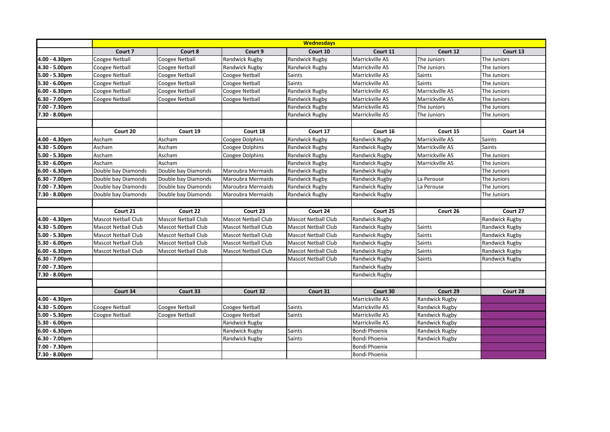|                  | <b>Wednesdays</b>          |                            |                       |                            |                       |                       |                |  |
|------------------|----------------------------|----------------------------|-----------------------|----------------------------|-----------------------|-----------------------|----------------|--|
|                  | Court 7                    | Court 8                    | Court 9               | Court 10                   | Court 11              | Court 12              | Court 13       |  |
| 4.00 - 4.30pm    | Coogee Netball             | Coogee Netball             | Randwick Rugby        | <b>Randwick Rugby</b>      | Marrickville AS       | The Juniors           | The Juniors    |  |
| 4.30 - 5.00pm    | Coogee Netball             | Coogee Netball             | Randwick Rugby        | <b>Randwick Rugby</b>      | Marrickville AS       | The Juniors           | The Juniors    |  |
| 5.00 - 5.30pm    | <b>Coogee Netball</b>      | <b>Coogee Netball</b>      | Coogee Netball        | <b>Saints</b>              | Marrickville AS       | <b>Saints</b>         | The Juniors    |  |
| 5.30 - 6.00pm    | Coogee Netball             | Coogee Netball             | Coogee Netball        | <b>Saints</b>              | Marrickville AS       | <b>Saints</b>         | The Juniors    |  |
| $6.00 - 6.30pm$  | <b>Coogee Netball</b>      | Coogee Netball             | Coogee Netball        | Randwick Rugby             | Marrickville AS       | Marrickville AS       | The Juniors    |  |
| 6.30 - 7.00pm    | Coogee Netball             | Coogee Netball             | <b>Coogee Netball</b> | <b>Randwick Rugby</b>      | Marrickville AS       | Marrickville AS       | The Juniors    |  |
| 7.00 - 7.30pm    |                            |                            |                       | Randwick Rugby             | Marrickville AS       | The Juniors           | The Juniors    |  |
| 7.30 - 8.00pm    |                            |                            |                       | Randwick Rugby             | Marrickville AS       | The Juniors           | The Juniors    |  |
|                  |                            |                            |                       |                            |                       |                       |                |  |
|                  | Court 20                   | Court 19                   | Court 18              | Court 17                   | Court 16              | Court 15              | Court 14       |  |
| 4.00 - 4.30pm    | Ascham                     | Ascham                     | Coogee Dolphins       | Randwick Rugby             | Randwick Rugby        | Marrickville AS       | <b>Saints</b>  |  |
| 4.30 - 5.00pm    | Ascham                     | Ascham                     | Coogee Dolphins       | Randwick Rugby             | Randwick Rugby        | Marrickville AS       | Saints         |  |
| 5.00 - 5.30pm    | Ascham                     | Ascham                     | Coogee Dolphins       | <b>Randwick Rugby</b>      | Randwick Rugby        | Marrickville AS       | The Juniors    |  |
| 5.30 - 6.00pm    | Ascham                     | Ascham                     |                       | Randwick Rugby             | Randwick Rugby        | Marrickville AS       | The Juniors    |  |
| $6.00 - 6.30$ pm | Double bay Diamonds        | Double bay Diamonds        | Maroubra Mermaids     | Randwick Rugby             | Randwick Rugby        |                       | The Juniors    |  |
| 6.30 - 7.00pm    | Double bay Diamonds        | Double bay Diamonds        | Maroubra Mermaids     | Randwick Rugby             | Randwick Rugby        | La Perouse            | The Juniors    |  |
| 7.00 - 7.30pm    | Double bay Diamonds        | Double bay Diamonds        | Maroubra Mermaids     | Randwick Rugby             | Randwick Rugby        | La Perouse            | The Juniors    |  |
| 7.30 - 8.00pm    | Double bay Diamonds        | Double bay Diamonds        | Maroubra Mermaids     | Randwick Rugby             | Randwick Rugby        |                       | The Juniors    |  |
|                  |                            |                            |                       |                            |                       |                       |                |  |
|                  | Court 21                   | Court 22                   | Court 23              | Court 24                   | Court 25              | Court 26              | Court 27       |  |
| 4.00 - 4.30pm    | <b>Mascot Netball Club</b> | <b>Mascot Netball Club</b> | Mascot Netball Club   | <b>Mascot Netball Club</b> | Randwick Rugby        |                       | Randwick Rugby |  |
| 4.30 - 5.00pm    | <b>Mascot Netball Club</b> | <b>Mascot Netball Club</b> | Mascot Netball Club   | <b>Mascot Netball Club</b> | <b>Randwick Rugby</b> | Saints                | Randwick Rugby |  |
| 5.00 - 5.30pm    | <b>Mascot Netball Club</b> | <b>Mascot Netball Club</b> | Mascot Netball Club   | <b>Mascot Netball Club</b> | Randwick Rugby        | Saints                | Randwick Rugby |  |
| 5.30 - 6.00pm    | <b>Mascot Netball Club</b> | <b>Mascot Netball Club</b> | Mascot Netball Club   | <b>Mascot Netball Club</b> | Randwick Rugby        | <b>Saints</b>         | Randwick Rugby |  |
| 6.00 - 6.30pm    | <b>Mascot Netball Club</b> | <b>Mascot Netball Club</b> | Mascot Netball Club   | <b>Mascot Netball Club</b> | Randwick Rugby        | Saints                | Randwick Rugby |  |
| 6.30 - 7.00pm    |                            |                            |                       | <b>Mascot Netball Club</b> | Randwick Rugby        | Saints                | Randwick Rugby |  |
| 7.00 - 7.30pm    |                            |                            |                       |                            | Randwick Rugby        |                       |                |  |
| 7.30 - 8.00pm    |                            |                            |                       |                            | Randwick Rugby        |                       |                |  |
|                  |                            |                            |                       |                            |                       |                       |                |  |
|                  | Court 34                   | Court 33                   | Court 32              | Court 31                   | Court 30              | Court 29              | Court 28       |  |
| 4.00 - 4.30pm    |                            |                            |                       |                            | Marrickville AS       | Randwick Rugby        |                |  |
| 4.30 - 5.00pm    | Coogee Netball             | Coogee Netball             | <b>Coogee Netball</b> | Saints                     | Marrickville AS       | Randwick Rugby        |                |  |
| 5.00 - 5.30pm    | Coogee Netball             | Coogee Netball             | Coogee Netball        | <b>Saints</b>              | Marrickville AS       | Randwick Rugby        |                |  |
| 5.30 - 6.00pm    |                            |                            | Randwick Rugby        |                            | Marrickville AS       | <b>Randwick Rugby</b> |                |  |
| 6.00 - 6.30pm    |                            |                            | Randwick Rugby        | <b>Saints</b>              | <b>Bondi Phoenix</b>  | Randwick Rugby        |                |  |
| 6.30 - 7.00pm    |                            |                            | Randwick Rugby        | <b>Saints</b>              | <b>Bondi Phoenix</b>  | Randwick Rugby        |                |  |
| 7.00 - 7.30pm    |                            |                            |                       |                            | Bondi Phoenix         |                       |                |  |
| 7.30 - 8.00pm    |                            |                            |                       |                            | Bondi Phoenix         |                       |                |  |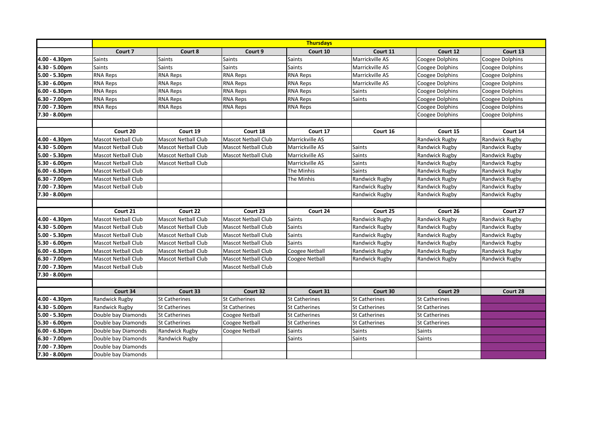|                  | <b>Thursdays</b>           |                            |                            |                      |                       |                       |                 |  |
|------------------|----------------------------|----------------------------|----------------------------|----------------------|-----------------------|-----------------------|-----------------|--|
|                  | Court 7                    | Court 8                    | Court 9                    | Court 10             | Court 11              | Court 12              | Court 13        |  |
| 4.00 - 4.30pm    | <b>Saints</b>              | <b>Saints</b>              | <b>Saints</b>              | <b>Saints</b>        | Marrickville AS       | Coogee Dolphins       | Coogee Dolphins |  |
| 4.30 - 5.00pm    | <b>Saints</b>              | <b>Saints</b>              | <b>Saints</b>              | <b>Saints</b>        | Marrickville AS       | Coogee Dolphins       | Coogee Dolphins |  |
| 5.00 - 5.30pm    | <b>RNA Reps</b>            | <b>RNA Reps</b>            | <b>RNA Reps</b>            | <b>RNA Reps</b>      | Marrickville AS       | Coogee Dolphins       | Coogee Dolphins |  |
| 5.30 - 6.00pm    | <b>RNA Reps</b>            | <b>RNA Reps</b>            | <b>RNA Reps</b>            | <b>RNA Reps</b>      | Marrickville AS       | Coogee Dolphins       | Coogee Dolphins |  |
| $6.00 - 6.30pm$  | <b>RNA Reps</b>            | <b>RNA Reps</b>            | <b>RNA Reps</b>            | <b>RNA Reps</b>      | <b>Saints</b>         | Coogee Dolphins       | Coogee Dolphins |  |
| 6.30 - 7.00pm    | <b>RNA Reps</b>            | <b>RNA Reps</b>            | <b>RNA Reps</b>            | <b>RNA Reps</b>      | Saints                | Coogee Dolphins       | Coogee Dolphins |  |
| 7.00 - 7.30pm    | <b>RNA Reps</b>            | <b>RNA Reps</b>            | <b>RNA Reps</b>            | <b>RNA Reps</b>      |                       | Coogee Dolphins       | Coogee Dolphins |  |
| 7.30 - 8.00pm    |                            |                            |                            |                      |                       | Coogee Dolphins       | Coogee Dolphins |  |
|                  |                            |                            |                            |                      |                       |                       |                 |  |
|                  | Court 20                   | Court 19                   | Court 18                   | Court 17             | Court 16              | Court 15              | Court 14        |  |
| 4.00 - 4.30pm    | <b>Mascot Netball Club</b> | <b>Mascot Netball Club</b> | <b>Mascot Netball Club</b> | Marrickville AS      |                       | <b>Randwick Rugby</b> | Randwick Rugby  |  |
| 4.30 - 5.00pm    | <b>Mascot Netball Club</b> | <b>Mascot Netball Club</b> | Mascot Netball Club        | Marrickville AS      | <b>Saints</b>         | Randwick Rugby        | Randwick Rugby  |  |
| 5.00 - 5.30pm    | <b>Mascot Netball Club</b> | <b>Mascot Netball Club</b> | Mascot Netball Club        | Marrickville AS      | Saints                | Randwick Rugby        | Randwick Rugby  |  |
| 5.30 - 6.00pm    | <b>Mascot Netball Club</b> | <b>Mascot Netball Club</b> |                            | Marrickville AS      | Saints                | Randwick Rugby        | Randwick Rugby  |  |
| $6.00 - 6.30$ pm | <b>Mascot Netball Club</b> |                            |                            | The Minhis           | <b>Saints</b>         | Randwick Rugby        | Randwick Rugby  |  |
| 6.30 - 7.00pm    | <b>Mascot Netball Club</b> |                            |                            | The Minhis           | Randwick Rugby        | Randwick Rugby        | Randwick Rugby  |  |
| 7.00 - 7.30pm    | <b>Mascot Netball Club</b> |                            |                            |                      | Randwick Rugby        | Randwick Rugby        | Randwick Rugby  |  |
| 7.30 - 8.00pm    |                            |                            |                            |                      | Randwick Rugby        | Randwick Rugby        | Randwick Rugby  |  |
|                  |                            |                            |                            |                      |                       |                       |                 |  |
|                  | Court 21                   | Court 22                   | Court 23                   | Court 24             | Court 25              | Court 26              | Court 27        |  |
| 4.00 - 4.30pm    | <b>Mascot Netball Club</b> | <b>Mascot Netball Club</b> | Mascot Netball Club        | <b>Saints</b>        | Randwick Rugby        | Randwick Rugby        | Randwick Rugby  |  |
| 4.30 - 5.00pm    | <b>Mascot Netball Club</b> | <b>Mascot Netball Club</b> | Mascot Netball Club        | <b>Saints</b>        | <b>Randwick Rugby</b> | Randwick Rugby        | Randwick Rugby  |  |
| 5.00 - 5.30pm    | <b>Mascot Netball Club</b> | <b>Mascot Netball Club</b> | Mascot Netball Club        | <b>Saints</b>        | Randwick Rugby        | Randwick Rugby        | Randwick Rugby  |  |
| 5.30 - 6.00pm    | <b>Mascot Netball Club</b> | <b>Mascot Netball Club</b> | <b>Mascot Netball Club</b> | <b>Saints</b>        | Randwick Rugby        | Randwick Rugby        | Randwick Rugby  |  |
| 6.00 - 6.30pm    | <b>Mascot Netball Club</b> | <b>Mascot Netball Club</b> | Mascot Netball Club        | Coogee Netball       | Randwick Rugby        | Randwick Rugby        | Randwick Rugby  |  |
| 6.30 - 7.00pm    | <b>Mascot Netball Club</b> | <b>Mascot Netball Club</b> | <b>Mascot Netball Club</b> | Coogee Netball       | Randwick Rugby        | Randwick Rugby        | Randwick Rugby  |  |
| 7.00 - 7.30pm    | <b>Mascot Netball Club</b> |                            | <b>Mascot Netball Club</b> |                      |                       |                       |                 |  |
| 7.30 - 8.00pm    |                            |                            |                            |                      |                       |                       |                 |  |
|                  |                            |                            |                            |                      |                       |                       |                 |  |
|                  | Court 34                   | Court 33                   | Court 32                   | Court 31             | Court 30              | Court 29              | Court 28        |  |
| 4.00 - 4.30pm    | Randwick Rugby             | <b>St Catherines</b>       | <b>St Catherines</b>       | <b>St Catherines</b> | <b>St Catherines</b>  | <b>St Catherines</b>  |                 |  |
| 4.30 - 5.00pm    | Randwick Rugby             | <b>St Catherines</b>       | St Catherines              | <b>St Catherines</b> | <b>St Catherines</b>  | <b>St Catherines</b>  |                 |  |
| 5.00 - 5.30pm    | Double bay Diamonds        | St Catherines              | Coogee Netball             | <b>St Catherines</b> | <b>St Catherines</b>  | <b>St Catherines</b>  |                 |  |
| 5.30 - 6.00pm    | Double bay Diamonds        | <b>St Catherines</b>       | Coogee Netball             | <b>St Catherines</b> | <b>St Catherines</b>  | <b>St Catherines</b>  |                 |  |
| 6.00 - 6.30pm    | Double bay Diamonds        | Randwick Rugby             | Coogee Netball             | <b>Saints</b>        | Saints                | <b>Saints</b>         |                 |  |
| 6.30 - 7.00pm    | Double bay Diamonds        | Randwick Rugby             |                            | <b>Saints</b>        | Saints                | <b>Saints</b>         |                 |  |
| 7.00 - 7.30pm    | Double bay Diamonds        |                            |                            |                      |                       |                       |                 |  |
| 7.30 - 8.00pm    | Double bay Diamonds        |                            |                            |                      |                       |                       |                 |  |